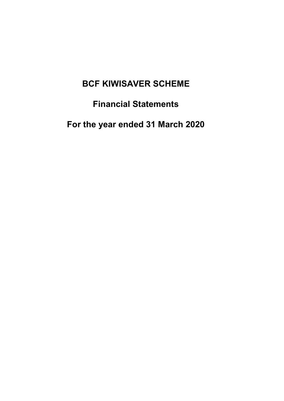# Financial Statements

For the year ended 31 March 2020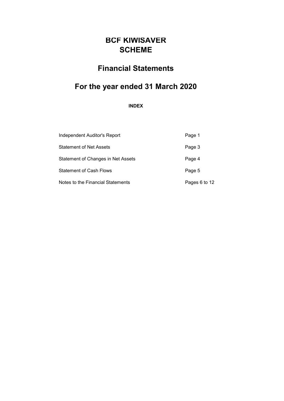# Financial Statements

# For the year ended 31 March 2020

INDEX

| Independent Auditor's Report       | Page 1        |
|------------------------------------|---------------|
| Statement of Net Assets            | Page 3        |
| Statement of Changes in Net Assets | Page 4        |
| <b>Statement of Cash Flows</b>     | Page 5        |
| Notes to the Financial Statements  | Pages 6 to 12 |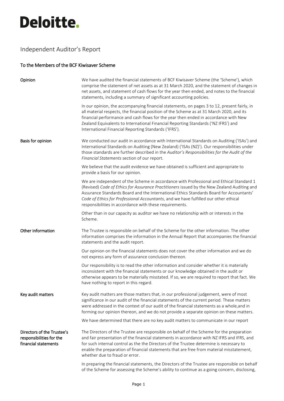

# Independent Auditor's Report

# To the Members of the BCF Kiwisaver Scheme

| Opinion                                                                        | We have audited the financial statements of BCF Kiwisaver Scheme (the 'Scheme'), which<br>comprise the statement of net assets as at 31 March 2020, and the statement of changes in<br>net assets, and statement of cash flows for the year then ended, and notes to the financial<br>statements, including a summary of significant accounting policies.                                                                            |
|--------------------------------------------------------------------------------|--------------------------------------------------------------------------------------------------------------------------------------------------------------------------------------------------------------------------------------------------------------------------------------------------------------------------------------------------------------------------------------------------------------------------------------|
|                                                                                | In our opinion, the accompanying financial statements, on pages 3 to 12, present fairly, in<br>all material respects, the financial position of the Scheme as at 31 March 2020, and its<br>financial performance and cash flows for the year then ended in accordance with New<br>Zealand Equivalents to International Financial Reporting Standards ('NZ IFRS') and<br>International Financial Reporting Standards ('IFRS').        |
| Basis for opinion                                                              | We conducted our audit in accordance with International Standards on Auditing ('ISAs') and<br>International Standards on Auditing (New Zealand) ('ISAs (NZ)'). Our responsibilities under<br>those standards are further described in the Auditor's Responsibilities for the Audit of the<br>Financial Statements section of our report.                                                                                             |
|                                                                                | We believe that the audit evidence we have obtained is sufficient and appropriate to<br>provide a basis for our opinion.                                                                                                                                                                                                                                                                                                             |
|                                                                                | We are independent of the Scheme in accordance with Professional and Ethical Standard 1<br>(Revised) Code of Ethics for Assurance Practitioners issued by the New Zealand Auditing and<br>Assurance Standards Board and the International Ethics Standards Board for Accountants'<br>Code of Ethics for Professional Accountants, and we have fulfilled our other ethical<br>responsibilities in accordance with these requirements. |
|                                                                                | Other than in our capacity as auditor we have no relationship with or interests in the<br>Scheme.                                                                                                                                                                                                                                                                                                                                    |
| Other information                                                              | The Trustee is responsible on behalf of the Scheme for the other information. The other<br>information comprises the information in the Annual Report that accompanies the financial<br>statements and the audit report.                                                                                                                                                                                                             |
|                                                                                | Our opinion on the financial statements does not cover the other information and we do<br>not express any form of assurance conclusion thereon.                                                                                                                                                                                                                                                                                      |
|                                                                                | Our responsibility is to read the other information and consider whether it is materially<br>inconsistent with the financial statements or our knowledge obtained in the audit or<br>otherwise appears to be materially misstated. If so, we are required to report that fact. We<br>have nothing to report in this regard.                                                                                                          |
| Key audit matters                                                              | Key audit matters are those matters that, in our professional judgement, were of most<br>significance in our audit of the financial statements of the current period. These matters<br>were addressed in the context of our audit of the financial statements as a whole, and in<br>forming our opinion thereon, and we do not provide a separate opinion on these matters.                                                          |
|                                                                                | We have determined that there are no key audit matters to communicate in our report                                                                                                                                                                                                                                                                                                                                                  |
| Directors of the Trustee's<br>responsibilities for the<br>financial statements | The Directors of the Trustee are responsible on behalf of the Scheme for the preparation<br>and fair presentation of the financial statements in accordance with NZ IFRS and IFRS, and<br>for such internal control as the the Directors of the Trustee determine is necessary to<br>enable the preparation of financial statements that are free from material misstatement,<br>whether due to fraud or error.                      |
|                                                                                | In preparing the financial statements, the Directors of the Trustee are responsible on behalf<br>of the Scheme for assessing the Scheme's ability to continue as a going concern, disclosing,                                                                                                                                                                                                                                        |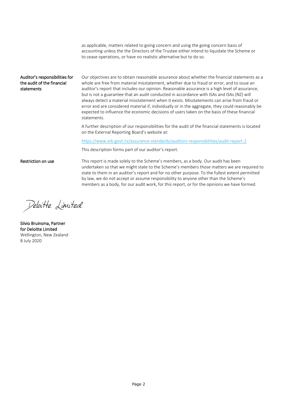as applicable, matters related to going concern and using the going concern basis of accounting unless the the Directors of the Trustee either intend to liquidate the Scheme or to cease operations, or have no realistic alternative but to do so.

## Auditor's responsibilities for the audit of the financial statements

Our objectives are to obtain reasonable assurance about whether the financial statements as a whole are free from material misstatement, whether due to fraud or error, and to issue an auditor's report that includes our opinion. Reasonable assurance is a high level of assurance, but is not a guarantee that an audit conducted in accordance with ISAs and ISAs (NZ) will always detect a material misstatement when it exists. Misstatements can arise from fraud or error and are considered material if, individually or in the aggregate, they could reasonably be expected to influence the economic decisions of users taken on the basis of these financial statements.

A further description of our responsibilities for the audit of the financial statements is located on the External Reporting Board's website at:

https://www.xrb.govt.nz/assurance-standards/auditors-responsibilities/audit-report-2

This description forms part of our auditor's report.

## Restriction on use

This report is made solely to the Scheme's members, as a body. Our audit has been undertaken so that we might state to the Scheme's members those matters we are required to state to them in an auditor's report and for no other purpose. To the fullest extent permitted by law, we do not accept or assume responsibility to anyone other than the Scheme's members as a body, for our audit work, for this report, or for the opinions we have formed.

Deloitte Limited

Silvio Bruinsma, Partner for Deloitte Limited Wellington, New Zealand 8 July 2020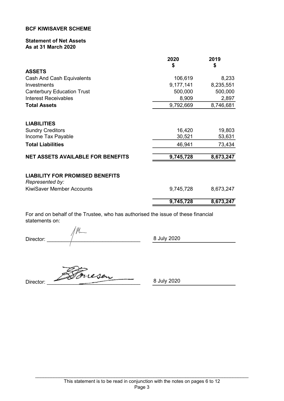# Statement of Net Assets As at 31 March 2020

|                                                           | 2020<br>\$ | 2019<br>\$ |
|-----------------------------------------------------------|------------|------------|
| <b>ASSETS</b>                                             |            |            |
| Cash And Cash Equivalents                                 | 106,619    | 8,233      |
| Investments                                               | 9,177,141  | 8,235,551  |
| <b>Canterbury Education Trust</b>                         | 500,000    | 500,000    |
| <b>Interest Receivables</b>                               | 8,909      | 2,897      |
| <b>Total Assets</b>                                       | 9,792,669  | 8,746,681  |
| <b>LIABILITIES</b>                                        |            |            |
| <b>Sundry Creditors</b>                                   | 16,420     | 19,803     |
| Income Tax Payable                                        | 30,521     | 53,631     |
| <b>Total Liabilities</b>                                  | 46,941     | 73,434     |
| <b>NET ASSETS AVAILABLE FOR BENEFITS</b>                  | 9,745,728  | 8,673,247  |
| <b>LIABILITY FOR PROMISED BENEFITS</b><br>Represented by: |            |            |
| <b>KiwiSaver Member Accounts</b>                          | 9,745,728  | 8,673,247  |
|                                                           | 9,745,728  | 8,673,247  |

For and on behalf of the Trustee, who has authorised the issue of these financial statements on:

|           | IM. |
|-----------|-----|
| Director: |     |
|           |     |

8 July 2020

Director: <del>200</del> Orcesen

8 July 2020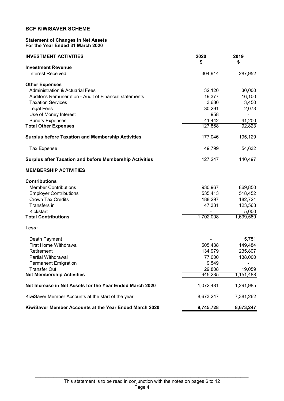## Statement of Changes in Net Assets For the Year Ended 31 March 2020

| <b>INVESTMENT ACTIVITIES</b>                                   | 2020<br>\$        | 2019<br>\$ |
|----------------------------------------------------------------|-------------------|------------|
| <b>Investment Revenue</b>                                      |                   |            |
| <b>Interest Received</b>                                       | 304,914           | 287,952    |
| <b>Other Expenses</b>                                          |                   |            |
| <b>Administration &amp; Actuarial Fees</b>                     | 32,120            | 30,000     |
| Auditor's Remuneration - Audit of Financial statements         | 19,377            | 16,100     |
| <b>Taxation Services</b>                                       | 3,680             | 3,450      |
| <b>Legal Fees</b>                                              | 30,291            | 2,073      |
| Use of Money Interest                                          | 958               |            |
| <b>Sundry Expenses</b>                                         | 41,442<br>127,868 | 41,200     |
| <b>Total Other Expenses</b>                                    |                   | 92,823     |
| <b>Surplus before Taxation and Membership Activities</b>       | 177,046           | 195,129    |
| <b>Tax Expense</b>                                             | 49,799            | 54,632     |
| <b>Surplus after Taxation and before Membership Activities</b> | 127,247           | 140,497    |
| <b>MEMBERSHIP ACTIVITIES</b>                                   |                   |            |
| <b>Contributions</b>                                           |                   |            |
| <b>Member Contributions</b>                                    | 930,967           | 869,850    |
| <b>Employer Contributions</b>                                  | 535,413           | 518,452    |
| <b>Crown Tax Credits</b>                                       | 188,297           | 182,724    |
| Transfers in                                                   | 47,331            | 123,563    |
| Kickstart                                                      |                   | 5,000      |
| <b>Total Contributions</b>                                     | 1,702,008         | 1,699,589  |
| Less:                                                          |                   |            |
| Death Payment                                                  |                   | 5,751      |
| <b>First Home Withdrawal</b>                                   | 505,438           | 149,484    |
| Retirement                                                     | 134,979           | 235,807    |
| <b>Partial Withdrawal</b>                                      | 77,000            | 138,000    |
| <b>Permanent Emigration</b>                                    | 9,549             |            |
| <b>Transfer Out</b>                                            | 29,808            | 19,059     |
| <b>Net Membership Activities</b>                               | 945,235           | 1,151,488  |
| Net Increase in Net Assets for the Year Ended March 2020       | 1,072,481         | 1,291,985  |
| KiwiSaver Member Accounts at the start of the year             | 8,673,247         | 7,381,262  |
| KiwiSaver Member Accounts at the Year Ended March 2020         | 9,745,728         | 8,673,247  |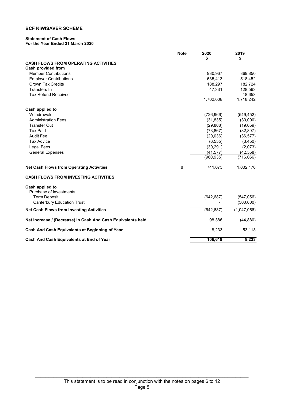# Statement of Cash Flows

# For the Year Ended 31 March 2020

|                                                             | <b>Note</b> | 2020<br>\$ | 2019<br>\$  |
|-------------------------------------------------------------|-------------|------------|-------------|
| <b>CASH FLOWS FROM OPERATING ACTIVITIES</b>                 |             |            |             |
| Cash provided from                                          |             |            |             |
| <b>Member Contributions</b>                                 |             | 930,967    | 869,850     |
| <b>Employer Contributions</b>                               |             | 535,413    | 518,452     |
| <b>Crown Tax Credits</b>                                    |             | 188,297    | 182,724     |
| Transfers In                                                |             | 47,331     | 128,563     |
| <b>Tax Refund Received</b>                                  |             |            | 18,653      |
|                                                             |             | 1,702,008  | 1,718,242   |
| Cash applied to                                             |             |            |             |
| Withdrawals                                                 |             | (726, 966) | (549, 452)  |
| <b>Administration Fees</b>                                  |             | (31, 835)  | (30,000)    |
| <b>Transfer Out</b>                                         |             | (29, 808)  | (19,059)    |
| <b>Tax Paid</b>                                             |             | (73, 867)  | (32, 897)   |
| <b>Audit Fee</b>                                            |             | (20, 036)  | (36, 577)   |
| <b>Tax Advice</b>                                           |             | (6, 555)   | (3,450)     |
| <b>Legal Fees</b>                                           |             | (30, 291)  | (2,073)     |
| <b>General Expenses</b>                                     |             | (41, 577)  | (42, 558)   |
|                                                             |             | (960, 935) | (716,066)   |
| <b>Net Cash Flows from Operating Activities</b>             | 8           | 741,073    | 1,002,176   |
| <b>CASH FLOWS FROM INVESTING ACTIVITIES</b>                 |             |            |             |
| Cash applied to                                             |             |            |             |
| Purchase of investments                                     |             |            |             |
| <b>Term Deposit</b>                                         |             | (642, 687) | (547, 056)  |
| <b>Canterbury Education Trust</b>                           |             |            | (500,000)   |
| <b>Net Cash Flows from Investing Activities</b>             |             | (642, 687) | (1,047,056) |
| Net Increase / (Decrease) in Cash And Cash Equivalents held |             | 98,386     | (44, 880)   |
| Cash And Cash Equivalents at Beginning of Year              |             | 8,233      | 53,113      |
| Cash And Cash Equivalents at End of Year                    |             | 106,619    | 8,233       |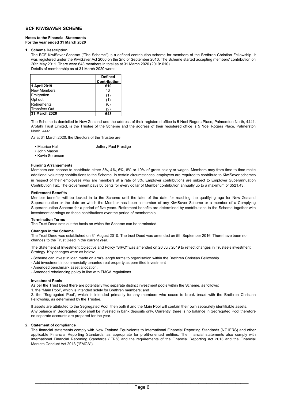#### Notes to the Financial Statements For the year ended 31 March 2020

#### 1. Scheme Description

Details of membership as at 31 March 2020 were: The BCF KiwiSaver Scheme ("The Scheme") is a defined contribution scheme for members of the Brethren Christian Fellowship. It was registered under the KiwiSaver Act 2006 on the 2nd of September 2010. The Scheme started accepting members' contribution on 20th May 2011. There were 643 members in total as at 31 March 2020 (2019: 610).

**Defined** Contribution 1 April 2019 610 New Members 1 43 Emigration (1) Opt out (1) Retirements (6) Transfers Out (2) 31 March 2020 643

The Scheme is domiciled in New Zealand and the address of their registered office is 5 Noel Rogers Place, Palmerston North, 4441. Arotahi Trust Limited, is the Trustee of the Scheme and the address of their registered office is 5 Noel Rogers Place, Palmerston North, 4441.

As at 31 March 2020, the Directors of the Trustee are:

| • Maurice Hall | Jeffery Paul Prestige |
|----------------|-----------------------|
|                |                       |

• John Mason

• Kevin Sorensen

#### Funding Arrangements

Members can choose to contribute either 3%, 4%, 6%, 8% or 10% of gross salary or wages. Members may from time to time make additional voluntary contributions to the Scheme. In certain circumstances, employers are required to contribute to KiwiSaver schemes in respect of their employees who are members at a rate of 3%. Employer contributions are subject to Employer Superannuation Contribution Tax. The Government pays 50 cents for every dollar of Member contribution annually up to a maximum of \$521.43.

#### Retirement Benefits

Member benefits will be locked in to the Scheme until the later of the date for reaching the qualifying age for New Zealand Superannuation or the date on which the Member has been a member of any KiwiSaver Scheme or a member of a Complying Superannuation Scheme for a period of five years. Retirement benefits are determined by contributions to the Scheme together with investment earnings on these contributions over the period of membership.

#### Termination Terms

The Trust Deed sets out the basis on which the Scheme can be terminated.

## Changes in the Scheme

The Trust Deed was established on 31 August 2010. The trust Deed was amended on 5th September 2016. There have been no changes to the Trust Deed in the current year.

The Statement of Investment Objective and Policy "SIPO" was amended on 26 July 2019 to reflect changes in Trustee's investment Strategy. Key changes were as below:

- Scheme can invest in loan made on arm's length terms to organisation within the Brethren Christian Fellowship.
- Add investment in commercially tenanted real property as permitted investment
- Amended benchmark asset allocation.
- Amended rebalancing policy in line with FMCA regulations.

#### Investment Pools

As per the Trust Deed there are potentially two separate distinct investment pools within the Scheme, as follows:

1. the "Main Pool", which is intended solely for Brethren members; and

2. the "Segregated Pool", which is intended primarily for any members who cease to break bread with the Brethren Christian Fellowship, as determined by the Trustee.

Any balance in Segregated pool shall be invested in bank deposits only. Currently, there is no balance in Segregated Pool therefore no separate accounts are prepared for the year. If assets are attributed to the Segregated Pool, then both it and the Main Pool will contain their own separately identifiable assets.

#### 2. Statement of compliance

The financial statements comply with New Zealand Equivalents to International Financial Reporting Standards (NZ IFRS) and other applicable Financial Reporting Standards, as appropriate for profit-oriented entities. The financial statements also comply with International Financial Reporting Standards (IFRS) and the requirements of the Financial Reporting Act 2013 and the Financial Markets Conduct Act 2013 ("FMCA").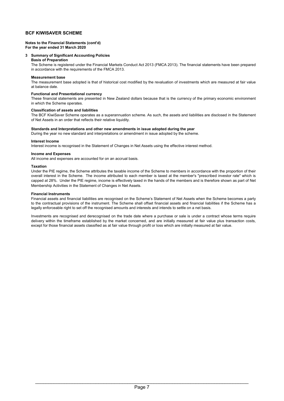#### Notes to the Financial Statements (cont'd) For the year ended 31 March 2020

### 3 Summary of Significant Accounting Policies

### Basis of Preparation

The Scheme is registered under the Financial Markets Conduct Act 2013 (FMCA 2013). The financial statements have been prepared in accordance with the requirements of the FMCA 2013.

#### Measurement base

The measurement base adopted is that of historical cost modified by the revaluation of investments which are measured at fair value at balance date.

#### Functional and Presentational currency

These financial statements are presented in New Zealand dollars because that is the currency of the primary economic environment in which the Scheme operates.

#### Classification of assets and liabilities

The BCF KiwiSaver Scheme operates as a superannuation scheme. As such, the assets and liabilities are disclosed in the Statement of Net Assets in an order that reflects their relative liquidity.

## Standards and Interpretations and other new amendments in issue adopted during the year

During the year no new standard and interpretations or amendment in issue adopted by the scheme.

#### Interest Income

Interest income is recognised in the Statement of Changes in Net Assets using the effective interest method.

### Income and Expenses

All income and expenses are accounted for on an accrual basis.

#### Taxation

Under the PIE regime, the Scheme attributes the taxable income of the Scheme to members in accordance with the proportion of their overall interest in the Scheme. The income attributed to each member is taxed at the member's "prescribed investor rate" which is capped at 28%. Under the PIE regime, income is effectively taxed in the hands of the members and is therefore shown as part of Net Membership Activities in the Statement of Changes in Net Assets.

#### Financial Instruments

Financial assets and financial liabilities are recognised on the Scheme's Statement of Net Assets when the Scheme becomes a party to the contractual provisions of the instrument. The Scheme shall offset financial assets and financial liabilities if the Scheme has a legally enforceable right to set off the recognised amounts and interests and intends to settle on a net basis.

Investments are recognised and derecognised on the trade date where a purchase or sale is under a contract whose terms require delivery within the timeframe established by the market concerned, and are initially measured at fair value plus transaction costs, except for those financial assets classified as at fair value through profit or loss which are initially measured at fair value.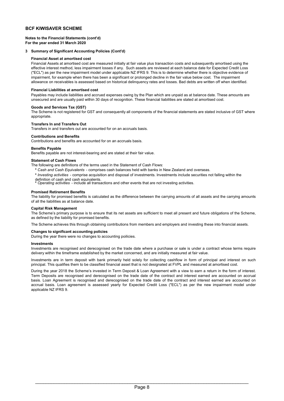Notes to the Financial Statements (cont'd) For the year ended 31 March 2020

#### 3 Summary of Significant Accounting Policies (Cont'd)

#### Financial Asset at amortised cost

Financial Assets at amortised cost are measured initially at fair value plus transaction costs and subsequently amortised using the effective interest method, less impairment losses if any. Such assets are reviewed at each balance date for Expected Credit Loss ("ECL") as per the new impairment model under applicable NZ IFRS 9. This is to determine whether there is objective evidence of impairment, for example when there has been a significant or prolonged decline in the fair value below cost. The impairment allowance on receivables is assessed based on historical delinquency rates and losses. Bad debts are written off when identified.

#### Financial Liabilities at amortised cost

Payables may include liabilities and accrued expenses owing by the Plan which are unpaid as at balance date. These amounts are unsecured and are usually paid within 30 days of recognition. These financial liabilities are stated at amortised cost.

#### Goods and Services Tax (GST)

The Scheme is not registered for GST and consequently all components of the financial statements are stated inclusive of GST where appropriate.

#### Transfers In and Transfers Out

Transfers in and transfers out are accounted for on an accruals basis.

## Contributions and Benefits

Contributions and benefits are accounted for on an accruals basis.

#### Benefits Payable

Benefits payable are not interest-bearing and are stated at their fair value.

## Statement of Cash Flows

- The following are definitions of the terms used in the Statement of Cash Flows:
- \* Cash and Cash Equivalents comprises cash balances held with banks in New Zealand and overseas.
- \* Investing activities comprise acquisition and disposal of investments. Investments include securities not falling within the definition of cash and cash equivalents.
- \* Operating activities include all transactions and other events that are not investing activities.

#### Promised Retirement Benefits

The liability for promised benefits is calculated as the difference between the carrying amounts of all assets and the carrying amounts of all the liabilities as at balance date.

#### Capital Risk Management

The Scheme's primary purpose is to ensure that its net assets are sufficient to meet all present and future obligations of the Scheme, as defined by the liability for promised benefits.

The Scheme achieves this through obtaining contributions from members and employers and investing these into financial assets.

#### Changes to significant accounting policies

During the year there were no changes to accounting poilicies.

#### Investments

Investments are recognised and derecognised on the trade date where a purchase or sale is under a contract whose terms require delivery within the timeframe established by the market concerned, and are initially measured at fair value.

Investments are in term deposit with bank primarily held solely for collecting cashflow in form of principal and interest on such principal. This qualifies them to be classified financial asset that is not designated at FVPL and measured at amortised cost.

During the year 2018 the Scheme's invested in Term Deposit & Loan Agreement with a view to earn a return in the form of interest. Term Deposits are recognised and derecognised on the trade date of the contract and interest earned are accounted on accrual basis. Loan Agreement is recognised and derecognised on the trade date of the contract and interest earned are accounted on accrual basis. Loan agreement is assessed yearly for Expected Credit Loss ("ECL") as per the new impairment model under applicable NZ IFRS 9.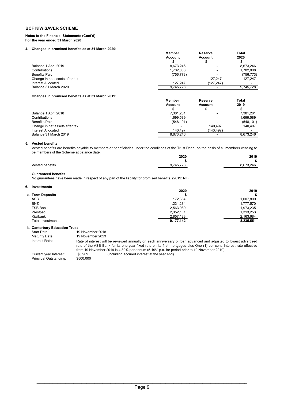#### Notes to the Financial Statements (Cont'd) For the year ended 31 March 2020

### 4. Changes in promised benefits as at 31 March 2020:

|                                | <b>Member</b><br><b>Account</b> | Reserve<br><b>Account</b> | <b>Total</b><br>2020 |
|--------------------------------|---------------------------------|---------------------------|----------------------|
| Balance 1 April 2019           | 8,673,246                       | ۰                         | 8.673.246            |
| Contributions                  | 1,702,008                       | ۰                         | 1.702.008            |
| <b>Benefits Paid</b>           | (756, 773)                      | -                         | (756, 773)           |
| Change in net assets after tax |                                 | 127.247                   | 127.247              |
| Interest Allocated             | 127.247                         | (127,247)                 |                      |
| Balance 31 March 2020          | 9.745.728                       |                           | 9.745.728            |
|                                |                                 |                           |                      |

### Changes in promised benefits as at 31 March 2019:

|                                | <b>Member</b>  | <b>Reserve</b> | Total      |
|--------------------------------|----------------|----------------|------------|
|                                | <b>Account</b> | <b>Account</b> | 2019       |
|                                |                |                |            |
| Balance 1 April 2018           | 7,381,261      | -              | 7,381,261  |
| Contributions                  | 1.699.589      | -              | 1.699.589  |
| <b>Benefits Paid</b>           | (548.101)      | -              | (548, 101) |
| Change in net assets after tax |                | 140.497        | 140.497    |
| <b>Interest Allocated</b>      | 140.497        | (140.497)      |            |
| Balance 31 March 2019          | 8.673.246      | -              | 8.673.246  |

## 5. Vested benefits

Vested benefits are benefits payable to members or beneficiaries under the conditions of the Trust Deed, on the basis of all members ceasing to be members of the Scheme at balance date.

|                 | 2020      | 2019      |
|-----------------|-----------|-----------|
|                 |           |           |
| Vested benefits | 9.745.728 | 8.673.246 |

## Guaranteed benefits

No guarantees have been made in respect of any part of the liability for promised benefits. (2019: Nil).

#### 6. Investments

|                          | 2020      | 2019      |
|--------------------------|-----------|-----------|
| a. Term Deposits         |           |           |
| ASB                      | 172.654   | 1,007,809 |
| <b>BNZ</b>               | 1,231,284 | 1,777,570 |
| TSB Bank                 | 2,563,980 | 1,973,235 |
| Westpac                  | 2,352,101 | 1,313,253 |
| Kiwibank                 | 2,857,123 | 2,163,684 |
| <b>Total Investments</b> | 9,177,142 | 8,235,551 |
|                          |           |           |

#### b. Canterbury Education Trust

| Start Date:            | 19 November 2018 |                                                                                                                                                                                                                                                                                                                                            |
|------------------------|------------------|--------------------------------------------------------------------------------------------------------------------------------------------------------------------------------------------------------------------------------------------------------------------------------------------------------------------------------------------|
| Maturity Date:         | 19 November 2023 |                                                                                                                                                                                                                                                                                                                                            |
| Interest Rate:         |                  | Rate of interest will be reviewed annually on each anniversary of loan advanced and adjusted to lowest advertised<br>rate of the ASB Bank for its one-year fixed rate on its first mortgages plus One (1) per cent. Interest rate effective<br>from 19 November 2019 is 4.89% per annum (5.19% p.a. for period prior to 19 November 2019). |
| Current year Interest: | \$8.909          | (including accrued interest at the year end)                                                                                                                                                                                                                                                                                               |
| Principal Outstanding: | \$500,000        |                                                                                                                                                                                                                                                                                                                                            |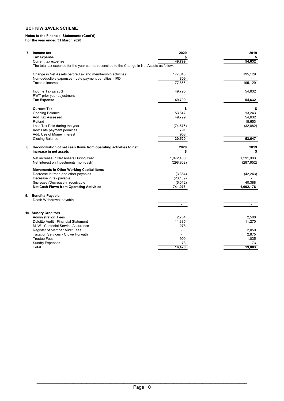#### Notes to the Financial Statements (Cont'd) For the year ended 31 March 2020

| 7. Income tax<br>Tax expense                                                                 | 2020                 | 2019       |
|----------------------------------------------------------------------------------------------|----------------------|------------|
| Current tax expense                                                                          | 49,799               | 54.632     |
| The total tax expense for the year can be reconciled to the Change in Net Assets as follows: |                      |            |
| Change in Net Assets before Tax and membership activities                                    | 177,046              | 195,129    |
| Non-deductible expenses - Late payment penalties - IRD                                       | 809                  |            |
| Taxable income                                                                               | 177,855              | 195,129    |
| Income Tax @ 28%                                                                             | 49,795               | 54,632     |
| RWT prior year adjustment                                                                    |                      |            |
| <b>Tax Expense</b>                                                                           | 49,799               | 54,632     |
| <b>Current Tax</b>                                                                           | S                    | \$         |
| <b>Opening Balance</b>                                                                       | 53,647               | 13,243     |
| Add Tax Assessed                                                                             | 49,799               | 54,632     |
| Refund                                                                                       |                      | 18,653     |
| Less Tax Paid during the year                                                                | (74, 676)            | (32, 882)  |
| Add: Late payment penalties                                                                  | 791                  |            |
| Add: Use of Money Interest                                                                   | 958                  |            |
| <b>Closing Balance</b>                                                                       | 30,520               | 53,647     |
| 8. Reconciliation of net cash flows from operating activities to net                         | 2020                 | 2019       |
| increase in net assets                                                                       | \$                   | \$         |
| Net increase In Net Assets During Year                                                       | 1,072,480            | 1,291,983  |
| Net Interest on Investments (non-cash)                                                       | (298, 902)           | (287, 952) |
|                                                                                              |                      |            |
| <b>Movements in Other Working Capital Items</b><br>Decrease in trade and other payables      |                      | (42, 243)  |
| Decrease in tax payable                                                                      | (3,384)<br>(23, 109) |            |
| (Increase)/Decrease in receivable                                                            | (6,012)              | 40,388     |
| <b>Net Cash Flows from Operating Activities</b>                                              | 741,073              | 1,002,176  |
|                                                                                              |                      |            |
| 9. Benefits Payable                                                                          |                      |            |
| Death Withdrawal payable                                                                     |                      |            |
|                                                                                              |                      |            |
| 10. Sundry Creditors                                                                         |                      |            |
| <b>Administration Fees</b>                                                                   | 2,784                | 2,500      |
| Deloitte Audit - Financial Statement                                                         | 11,385               | 11,270     |
| <b>MJW</b> - Custodial Service Assurance                                                     | 1,278                |            |
| <b>Register of Member Audit Fees</b>                                                         |                      | 2,050      |
| <b>Taxation Services - Crowe Horwath</b>                                                     | $\overline{a}$       | 2,875      |
| <b>Trustee Fees</b>                                                                          | 900                  | 1,035      |
| <b>Sundry Expenses</b>                                                                       | 73                   | 73         |
| Total                                                                                        | 16,420               | 19,803     |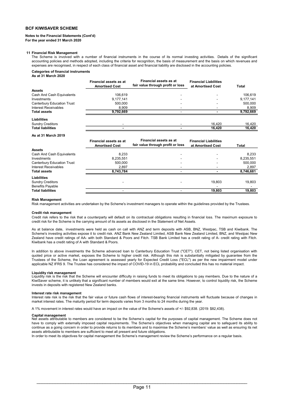#### Notes to the Financial Statements (Cont'd) For the year ended 31 March 2020

#### 11 Financial Risk Management

The Scheme is involved with a number of financial instruments in the course of its normal investing activities. Details of the significant accounting policies and methods adopted, including the criteria for recognition, the basis of measurement and the basis on which revenues and expenses are recognised, in respect of each class of financial asset and financial liability are disclosed in the accounting policies.

# Categories of financial instruments

As at 31 March 2020

|                                   | <b>Financial assets as at</b><br><b>Amortised Cost</b> | <b>Financial assets as at</b><br>fair value through profit or loss | <b>Financial Liabilities</b><br>at Amortised Cost | Total     |
|-----------------------------------|--------------------------------------------------------|--------------------------------------------------------------------|---------------------------------------------------|-----------|
| <b>Assets</b>                     |                                                        |                                                                    |                                                   |           |
| Cash And Cash Equivalents         | 106.619                                                |                                                                    |                                                   | 106,619   |
| Investments                       | 9.177.141                                              |                                                                    |                                                   | 9,177,141 |
| <b>Canterbury Education Trust</b> | 500.000                                                | -                                                                  |                                                   | 500.000   |
| Interest Receivables              | 8.909                                                  | -                                                                  |                                                   | 8.909     |
| <b>Total assets</b>               | 9.792.669                                              |                                                                    |                                                   | 9,792,669 |
| <b>Liabilities</b>                |                                                        |                                                                    |                                                   |           |
| <b>Sundry Creditors</b>           |                                                        |                                                                    | 16.420                                            | 16,420    |
| <b>Total liabilities</b>          |                                                        |                                                                    | 16.420                                            | 16.420    |

#### As at 31 March 2019

|                                   | <b>Financial assets as at</b><br><b>Amortised Cost</b> | Financial assets as at<br>fair value through profit or loss | <b>Financial Liabilities</b><br>at Amortised Cost | Total     |
|-----------------------------------|--------------------------------------------------------|-------------------------------------------------------------|---------------------------------------------------|-----------|
| <b>Assets</b>                     |                                                        |                                                             |                                                   |           |
| Cash And Cash Equivalents         | 8.233                                                  |                                                             |                                                   | 8.233     |
| Investments                       | 8,235,551                                              |                                                             |                                                   | 8,235,551 |
| <b>Canterbury Education Trust</b> | 500.000                                                |                                                             |                                                   | 500.000   |
| Interest Receivables              | 2.897                                                  |                                                             |                                                   | 2,897     |
| <b>Total assets</b>               | 8,743,784                                              |                                                             |                                                   | 8,746,681 |
| <b>Liabilities</b>                |                                                        |                                                             |                                                   |           |
| <b>Sundry Creditors</b>           |                                                        |                                                             | 19.803                                            | 19,803    |
| <b>Benefits Payable</b>           |                                                        |                                                             |                                                   |           |
| <b>Total liabilities</b>          |                                                        |                                                             | 19,803                                            | 19,803    |

#### Risk Management

Risk management activities are undertaken by the Scheme's investment managers to operate within the guidelines provided by the Trustees.

#### Credit risk management

Credit risk refers to the risk that a counterparty will default on its contractual obligations resulting in financial loss. The maximum exposure to credit risk for the Scheme is the carrying amount of its assets as disclosed in the Statement of Net Assets.

As at balance date, investments were held as cash on call with ANZ and term deposits with ASB, BNZ, Westpac, TSB and Kiwibank. The Scheme's investing activities expose it to credit risk. ANZ Bank New Zealand Limited, ASB Bank New Zealand Limited, BNZ, and Westpac New Zealand have credit ratings of AA- with both Standard & Poors and Fitch. TSB Bank Limited has a credit rating of A- credit rating with Fitch. Kiwibank has a credit rating of A with Standard & Poors.

In addition to above investments the Scheme advanced loan to Canterbury Education Trust ("CET"). CET, not being listed organisation with quoted price or active market, exposes the Scheme to higher credit risk. Although this risk is substantially mitigated by guarantee from the Trustees of the Scheme, the Loan agreement is assessed yearly for Expected Credit Loss ("ECL") as per the new impairment model under applicable NZ IFRS 9. The Trustee has considered the impact of COVID-19 in ECL probability and concluded this has no material impact.

#### Liquidity risk management

Liquidity risk is the risk that the Scheme will encounter difficulty in raising funds to meet its obligations to pay members. Due to the nature of a KiwiSaver scheme, it is unlikely that a significant number of members would exit at the same time. However, to control liquidity risk, the Scheme invests in deposits with registered New Zealand banks.

#### Interest rate risk management

Interest rate risk is the risk that the fair value or future cash flows of interest-bearing financial instruments will fluctuate because of changes in market interest rates. The maturity period for term deposits varies from 3 months to 24 months during the year

A 1% movement in interest rates would have an impact on the value of the Scheme's assets of +/- \$92,838. (2019: \$82,438).

#### Capital management

Net assets attributable to members are considered to be the Scheme's capital for the purposes of capital management. The Scheme does not have to comply with externally imposed capital requirements. The Scheme's objectives when managing capital are to safeguard its ability to continue as a going concern in order to provide returns to its members and to maximise the Scheme's members' value as well as ensuring its net assets attributable to members are sufficient to meet all present and future obligations.

In order to meet its objectives for capital management the Scheme's management review the Scheme's performance on a regular basis.